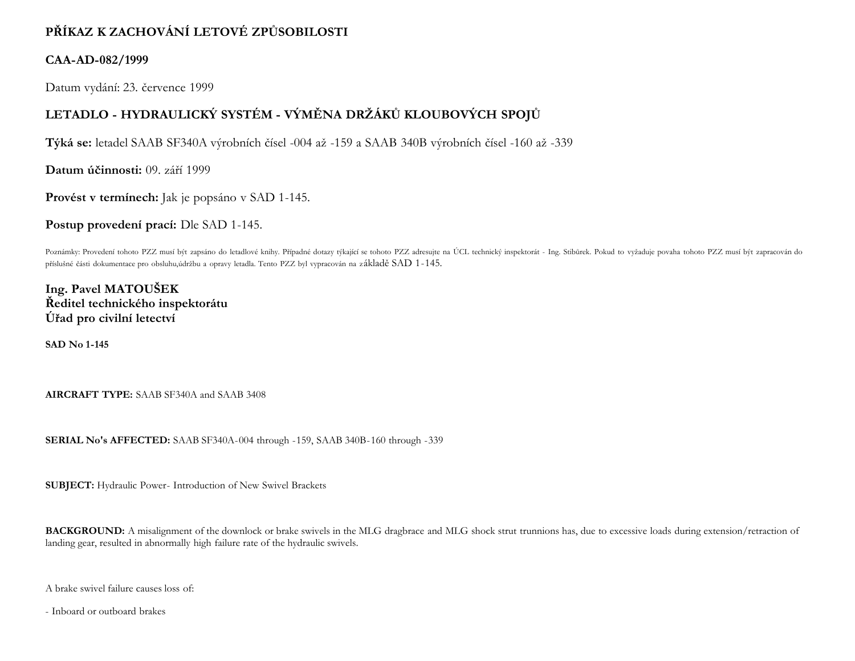## **PŘÍKAZ K ZACHOVÁNÍ LETOVÉ ZPŮSOBILOSTI**

## **CAA-AD-082/1999**

Datum vydání: 23. července 1999

## **LETADLO - HYDRAULICKÝ SYSTÉM - VÝMĚNA DRŽÁKŮ KLOUBOVÝCH SPOJŮ**

**Týká se:** letadel SAAB SF340A výrobních čísel -004 až -159 a SAAB 340B výrobních čísel -160 až -339

**Datum účinnosti:** 09. září 1999

**Provést v termínech:** Jak je popsáno v SAD 1-145.

**Postup provedení prací:** Dle SAD 1-145.

Poznámky: Provedení tohoto PZZ musí být zapsáno do letadlové knihy. Případné dotazy týkající se tohoto PZZ adresujte na ÚCL technický inspektorát - Ing. Stibůrek. Pokud to vyžaduje povaha tohoto PZZ musí být zapracován do příslušné části dokumentace pro obsluhu,údržbu a opravy letadla. Tento PZZ byl vypracován na základě SAD 1-145.

**Ing. Pavel MATOUŠEK Ředitel technického inspektorátu Úřad pro civilní letectví**

**SAD No 1-145**

**AIRCRAFT TYPE:** SAAB SF340A and SAAB 3408

**SERIAL No's AFFECTED:** SAAB SF340A-004 through -159, SAAB 340B-160 through -339

**SUBJECT:** Hydraulic Power- Introduction of New Swivel Brackets

BACKGROUND: A misalignment of the downlock or brake swivels in the MLG dragbrace and MLG shock strut trunnions has, due to excessive loads during extension/retraction of landing gear, resulted in abnormally high failure rate of the hydraulic swivels.

A brake swivel failure causes loss of:

- Inboard or outboard brakes